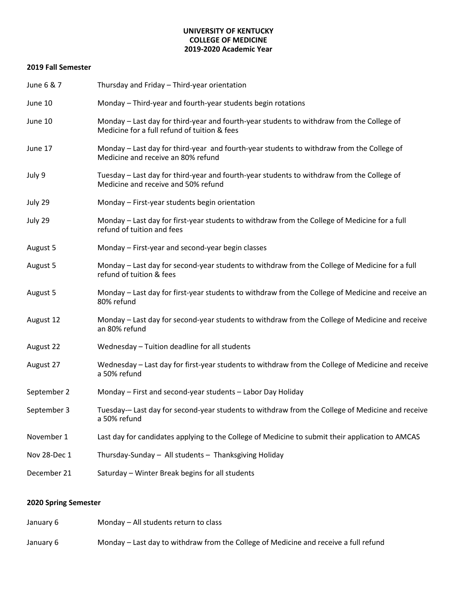## **UNIVERSITY OF KENTUCKY COLLEGE OF MEDICINE 2019-2020 Academic Year**

## **2019 Fall Semester**

| June 6 & 7   | Thursday and Friday - Third-year orientation                                                                                              |
|--------------|-------------------------------------------------------------------------------------------------------------------------------------------|
| June 10      | Monday - Third-year and fourth-year students begin rotations                                                                              |
| June 10      | Monday - Last day for third-year and fourth-year students to withdraw from the College of<br>Medicine for a full refund of tuition & fees |
| June 17      | Monday – Last day for third-year and fourth-year students to withdraw from the College of<br>Medicine and receive an 80% refund           |
| July 9       | Tuesday – Last day for third-year and fourth-year students to withdraw from the College of<br>Medicine and receive and 50% refund         |
| July 29      | Monday - First-year students begin orientation                                                                                            |
| July 29      | Monday – Last day for first-year students to withdraw from the College of Medicine for a full<br>refund of tuition and fees               |
| August 5     | Monday - First-year and second-year begin classes                                                                                         |
| August 5     | Monday - Last day for second-year students to withdraw from the College of Medicine for a full<br>refund of tuition & fees                |
| August 5     | Monday – Last day for first-year students to withdraw from the College of Medicine and receive an<br>80% refund                           |
| August 12    | Monday - Last day for second-year students to withdraw from the College of Medicine and receive<br>an 80% refund                          |
| August 22    | Wednesday - Tuition deadline for all students                                                                                             |
| August 27    | Wednesday - Last day for first-year students to withdraw from the College of Medicine and receive<br>a 50% refund                         |
| September 2  | Monday - First and second-year students - Labor Day Holiday                                                                               |
| September 3  | Tuesday- Last day for second-year students to withdraw from the College of Medicine and receive<br>a 50% refund                           |
| November 1   | Last day for candidates applying to the College of Medicine to submit their application to AMCAS                                          |
| Nov 28-Dec 1 | Thursday-Sunday - All students - Thanksgiving Holiday                                                                                     |
| December 21  | Saturday - Winter Break begins for all students                                                                                           |

## **2020 Spring Semester**

| January 6 | Monday – All students return to class                                                |
|-----------|--------------------------------------------------------------------------------------|
| January 6 | Monday – Last day to withdraw from the College of Medicine and receive a full refund |